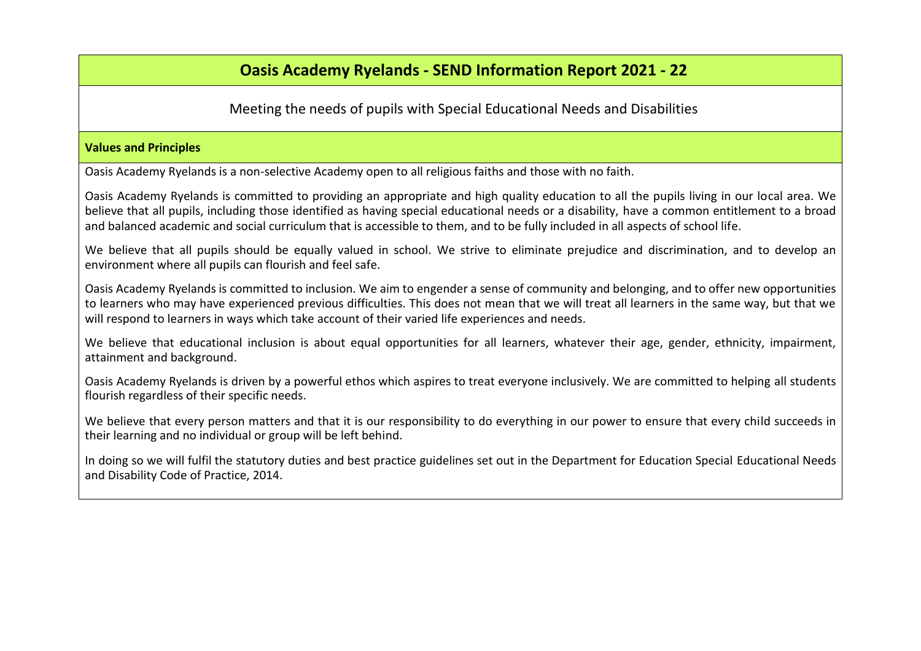# **Oasis Academy Ryelands - SEND Information Report 2021 - 22**

# Meeting the needs of pupils with Special Educational Needs and Disabilities

#### **Values and Principles**

Oasis Academy Ryelands is a non-selective Academy open to all religious faiths and those with no faith.

Oasis Academy Ryelands is committed to providing an appropriate and high quality education to all the pupils living in our local area. We believe that all pupils, including those identified as having special educational needs or a disability, have a common entitlement to a broad and balanced academic and social curriculum that is accessible to them, and to be fully included in all aspects of school life.

We believe that all pupils should be equally valued in school. We strive to eliminate prejudice and discrimination, and to develop an environment where all pupils can flourish and feel safe.

Oasis Academy Ryelands is committed to inclusion. We aim to engender a sense of community and belonging, and to offer new opportunities to learners who may have experienced previous difficulties. This does not mean that we will treat all learners in the same way, but that we will respond to learners in ways which take account of their varied life experiences and needs.

We believe that educational inclusion is about equal opportunities for all learners, whatever their age, gender, ethnicity, impairment, attainment and background.

Oasis Academy Ryelands is driven by a powerful ethos which aspires to treat everyone inclusively. We are committed to helping all students flourish regardless of their specific needs.

We believe that every person matters and that it is our responsibility to do everything in our power to ensure that every child succeeds in their learning and no individual or group will be left behind.

In doing so we will fulfil the statutory duties and best practice guidelines set out in the Department for Education Special Educational Needs and Disability Code of Practice, 2014.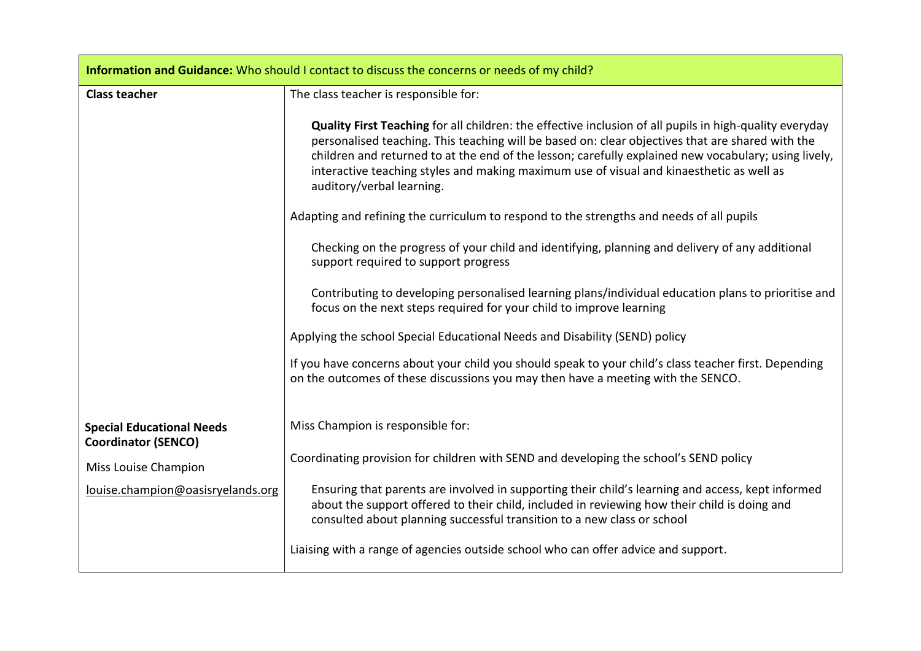| Information and Guidance: Who should I contact to discuss the concerns or needs of my child? |                                                                                                                                                                                                                                                                                                                                   |  |
|----------------------------------------------------------------------------------------------|-----------------------------------------------------------------------------------------------------------------------------------------------------------------------------------------------------------------------------------------------------------------------------------------------------------------------------------|--|
| <b>Class teacher</b>                                                                         | The class teacher is responsible for:<br>Quality First Teaching for all children: the effective inclusion of all pupils in high-quality everyday                                                                                                                                                                                  |  |
|                                                                                              | personalised teaching. This teaching will be based on: clear objectives that are shared with the<br>children and returned to at the end of the lesson; carefully explained new vocabulary; using lively,<br>interactive teaching styles and making maximum use of visual and kinaesthetic as well as<br>auditory/verbal learning. |  |
|                                                                                              | Adapting and refining the curriculum to respond to the strengths and needs of all pupils                                                                                                                                                                                                                                          |  |
|                                                                                              | Checking on the progress of your child and identifying, planning and delivery of any additional<br>support required to support progress                                                                                                                                                                                           |  |
|                                                                                              | Contributing to developing personalised learning plans/individual education plans to prioritise and<br>focus on the next steps required for your child to improve learning                                                                                                                                                        |  |
|                                                                                              | Applying the school Special Educational Needs and Disability (SEND) policy                                                                                                                                                                                                                                                        |  |
|                                                                                              | If you have concerns about your child you should speak to your child's class teacher first. Depending<br>on the outcomes of these discussions you may then have a meeting with the SENCO.                                                                                                                                         |  |
| <b>Special Educational Needs</b><br><b>Coordinator (SENCO)</b>                               | Miss Champion is responsible for:                                                                                                                                                                                                                                                                                                 |  |
| Miss Louise Champion                                                                         | Coordinating provision for children with SEND and developing the school's SEND policy                                                                                                                                                                                                                                             |  |
| louise.champion@oasisryelands.org                                                            | Ensuring that parents are involved in supporting their child's learning and access, kept informed<br>about the support offered to their child, included in reviewing how their child is doing and<br>consulted about planning successful transition to a new class or school                                                      |  |
|                                                                                              | Liaising with a range of agencies outside school who can offer advice and support.                                                                                                                                                                                                                                                |  |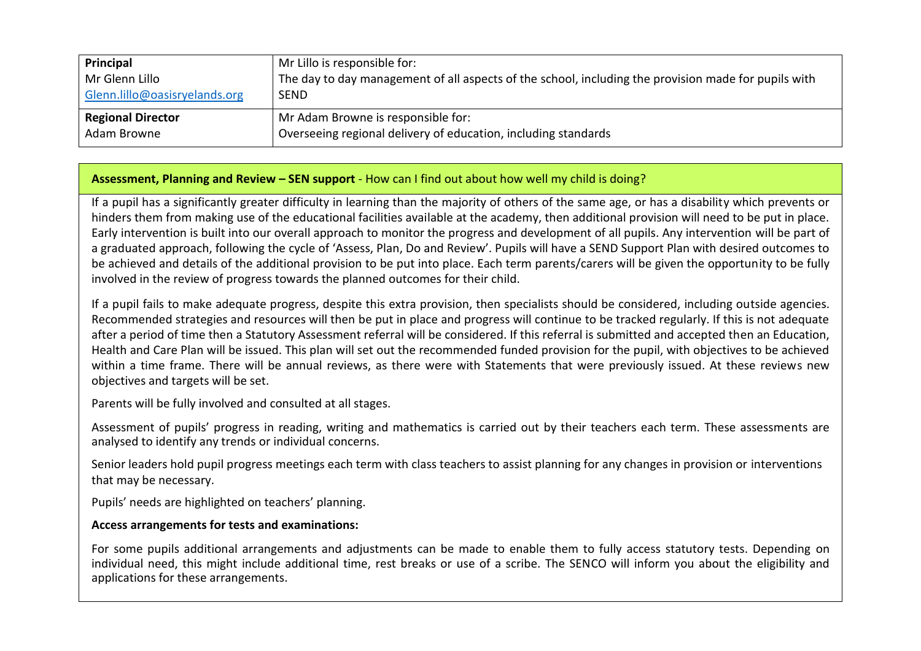| Principal                     | Mr Lillo is responsible for:                                                                         |
|-------------------------------|------------------------------------------------------------------------------------------------------|
| Mr Glenn Lillo                | The day to day management of all aspects of the school, including the provision made for pupils with |
| Glenn.lillo@oasisryelands.org | <b>SEND</b>                                                                                          |
| <b>Regional Director</b>      | Mr Adam Browne is responsible for:                                                                   |
| Adam Browne                   | Overseeing regional delivery of education, including standards                                       |

#### **Assessment, Planning and Review – SEN support** - How can I find out about how well my child is doing?

If a pupil has a significantly greater difficulty in learning than the majority of others of the same age, or has a disability which prevents or hinders them from making use of the educational facilities available at the academy, then additional provision will need to be put in place. Early intervention is built into our overall approach to monitor the progress and development of all pupils. Any intervention will be part of a graduated approach, following the cycle of 'Assess, Plan, Do and Review'. Pupils will have a SEND Support Plan with desired outcomes to be achieved and details of the additional provision to be put into place. Each term parents/carers will be given the opportunity to be fully involved in the review of progress towards the planned outcomes for their child.

If a pupil fails to make adequate progress, despite this extra provision, then specialists should be considered, including outside agencies. Recommended strategies and resources will then be put in place and progress will continue to be tracked regularly. If this is not adequate after a period of time then a Statutory Assessment referral will be considered. If this referral is submitted and accepted then an Education, Health and Care Plan will be issued. This plan will set out the recommended funded provision for the pupil, with objectives to be achieved within a time frame. There will be annual reviews, as there were with Statements that were previously issued. At these reviews new objectives and targets will be set.

Parents will be fully involved and consulted at all stages.

Assessment of pupils' progress in reading, writing and mathematics is carried out by their teachers each term. These assessments are analysed to identify any trends or individual concerns.

Senior leaders hold pupil progress meetings each term with class teachers to assist planning for any changes in provision or interventions that may be necessary.

Pupils' needs are highlighted on teachers' planning.

### **Access arrangements for tests and examinations:**

For some pupils additional arrangements and adjustments can be made to enable them to fully access statutory tests. Depending on individual need, this might include additional time, rest breaks or use of a scribe. The SENCO will inform you about the eligibility and applications for these arrangements.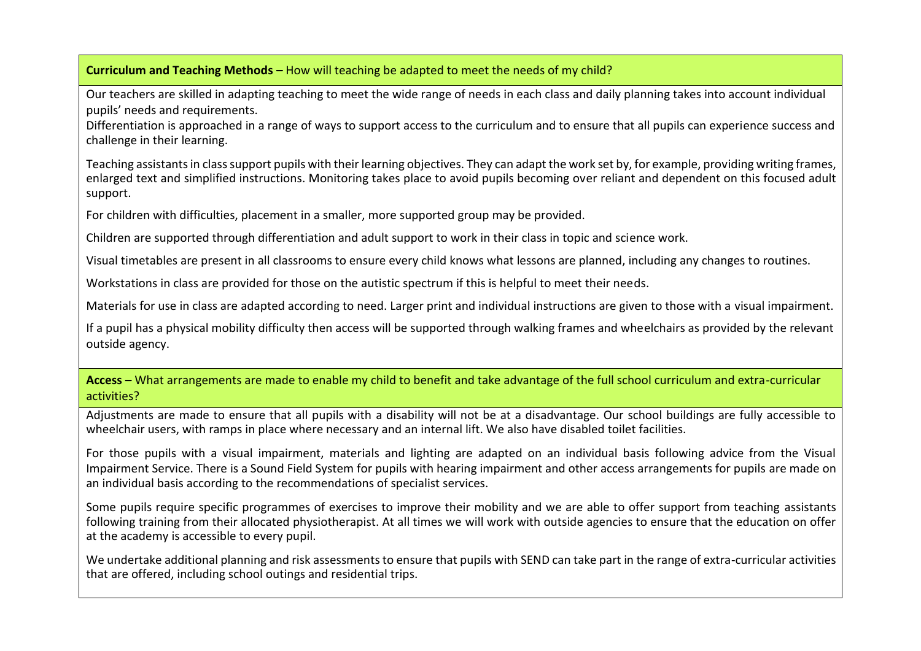### **Curriculum and Teaching Methods –** How will teaching be adapted to meet the needs of my child?

Our teachers are skilled in adapting teaching to meet the wide range of needs in each class and daily planning takes into account individual pupils' needs and requirements.

Differentiation is approached in a range of ways to support access to the curriculum and to ensure that all pupils can experience success and challenge in their learning.

Teaching assistants in class support pupils with their learning objectives. They can adapt the work set by, for example, providing writing frames, enlarged text and simplified instructions. Monitoring takes place to avoid pupils becoming over reliant and dependent on this focused adult support.

For children with difficulties, placement in a smaller, more supported group may be provided.

Children are supported through differentiation and adult support to work in their class in topic and science work.

Visual timetables are present in all classrooms to ensure every child knows what lessons are planned, including any changes to routines.

Workstations in class are provided for those on the autistic spectrum if this is helpful to meet their needs.

Materials for use in class are adapted according to need. Larger print and individual instructions are given to those with a visual impairment.

If a pupil has a physical mobility difficulty then access will be supported through walking frames and wheelchairs as provided by the relevant outside agency.

**Access –** What arrangements are made to enable my child to benefit and take advantage of the full school curriculum and extra-curricular activities?

Adjustments are made to ensure that all pupils with a disability will not be at a disadvantage. Our school buildings are fully accessible to wheelchair users, with ramps in place where necessary and an internal lift. We also have disabled toilet facilities.

For those pupils with a visual impairment, materials and lighting are adapted on an individual basis following advice from the Visual Impairment Service. There is a Sound Field System for pupils with hearing impairment and other access arrangements for pupils are made on an individual basis according to the recommendations of specialist services.

Some pupils require specific programmes of exercises to improve their mobility and we are able to offer support from teaching assistants following training from their allocated physiotherapist. At all times we will work with outside agencies to ensure that the education on offer at the academy is accessible to every pupil.

We undertake additional planning and risk assessments to ensure that pupils with SEND can take part in the range of extra-curricular activities that are offered, including school outings and residential trips.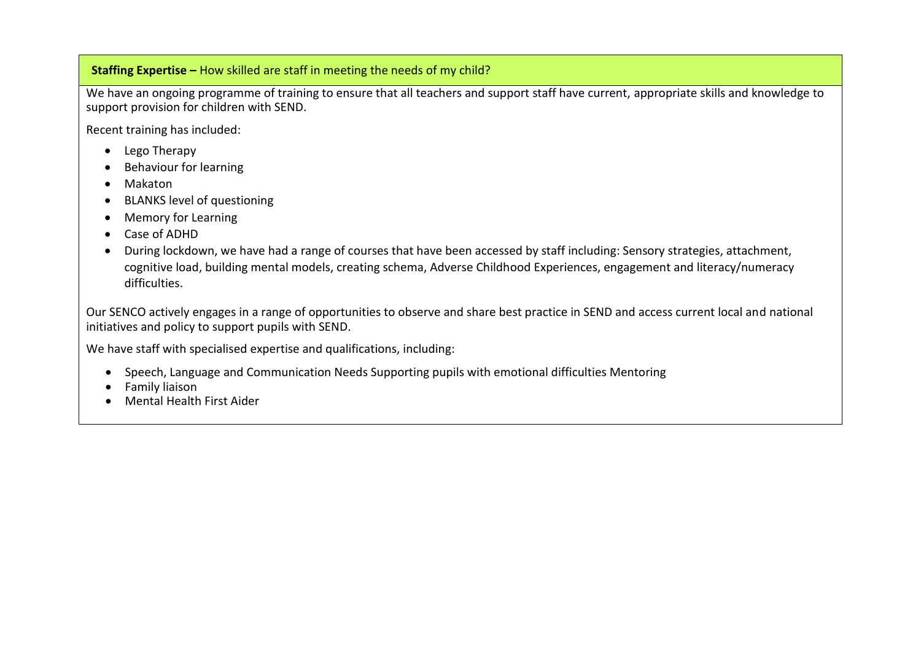### **Staffing Expertise –** How skilled are staff in meeting the needs of my child?

We have an ongoing programme of training to ensure that all teachers and support staff have current, appropriate skills and knowledge to support provision for children with SEND.

Recent training has included:

- Lego Therapy
- Behaviour for learning
- Makaton
- BLANKS level of questioning
- Memory for Learning
- Case of ADHD
- During lockdown, we have had a range of courses that have been accessed by staff including: Sensory strategies, attachment, cognitive load, building mental models, creating schema, Adverse Childhood Experiences, engagement and literacy/numeracy difficulties.

Our SENCO actively engages in a range of opportunities to observe and share best practice in SEND and access current local and national initiatives and policy to support pupils with SEND.

We have staff with specialised expertise and qualifications, including:

- Speech, Language and Communication Needs Supporting pupils with emotional difficulties Mentoring
- Family liaison
- Mental Health First Aider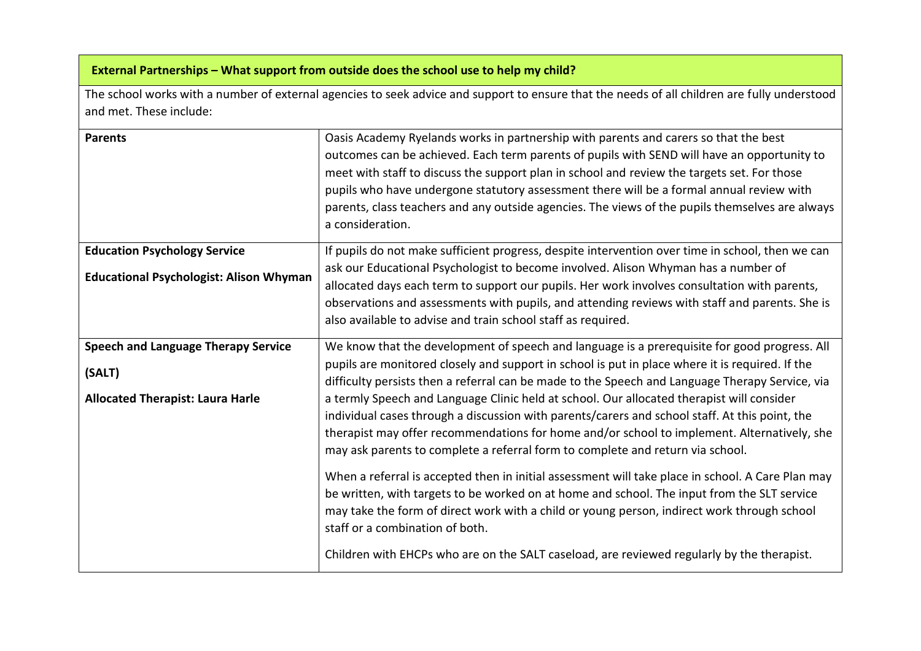# **External Partnerships – What support from outside does the school use to help my child?**

The school works with a number of external agencies to seek advice and support to ensure that the needs of all children are fully understood and met. These include:

| <b>Parents</b>                                 | Oasis Academy Ryelands works in partnership with parents and carers so that the best<br>outcomes can be achieved. Each term parents of pupils with SEND will have an opportunity to<br>meet with staff to discuss the support plan in school and review the targets set. For those<br>pupils who have undergone statutory assessment there will be a formal annual review with<br>parents, class teachers and any outside agencies. The views of the pupils themselves are always<br>a consideration. |
|------------------------------------------------|-------------------------------------------------------------------------------------------------------------------------------------------------------------------------------------------------------------------------------------------------------------------------------------------------------------------------------------------------------------------------------------------------------------------------------------------------------------------------------------------------------|
| <b>Education Psychology Service</b>            | If pupils do not make sufficient progress, despite intervention over time in school, then we can                                                                                                                                                                                                                                                                                                                                                                                                      |
| <b>Educational Psychologist: Alison Whyman</b> | ask our Educational Psychologist to become involved. Alison Whyman has a number of<br>allocated days each term to support our pupils. Her work involves consultation with parents,<br>observations and assessments with pupils, and attending reviews with staff and parents. She is                                                                                                                                                                                                                  |
|                                                | also available to advise and train school staff as required.                                                                                                                                                                                                                                                                                                                                                                                                                                          |
| <b>Speech and Language Therapy Service</b>     | We know that the development of speech and language is a prerequisite for good progress. All                                                                                                                                                                                                                                                                                                                                                                                                          |
| (SALT)                                         | pupils are monitored closely and support in school is put in place where it is required. If the<br>difficulty persists then a referral can be made to the Speech and Language Therapy Service, via                                                                                                                                                                                                                                                                                                    |
| <b>Allocated Therapist: Laura Harle</b>        | a termly Speech and Language Clinic held at school. Our allocated therapist will consider<br>individual cases through a discussion with parents/carers and school staff. At this point, the<br>therapist may offer recommendations for home and/or school to implement. Alternatively, she<br>may ask parents to complete a referral form to complete and return via school.                                                                                                                          |
|                                                | When a referral is accepted then in initial assessment will take place in school. A Care Plan may<br>be written, with targets to be worked on at home and school. The input from the SLT service<br>may take the form of direct work with a child or young person, indirect work through school<br>staff or a combination of both.                                                                                                                                                                    |
|                                                | Children with EHCPs who are on the SALT caseload, are reviewed regularly by the therapist.                                                                                                                                                                                                                                                                                                                                                                                                            |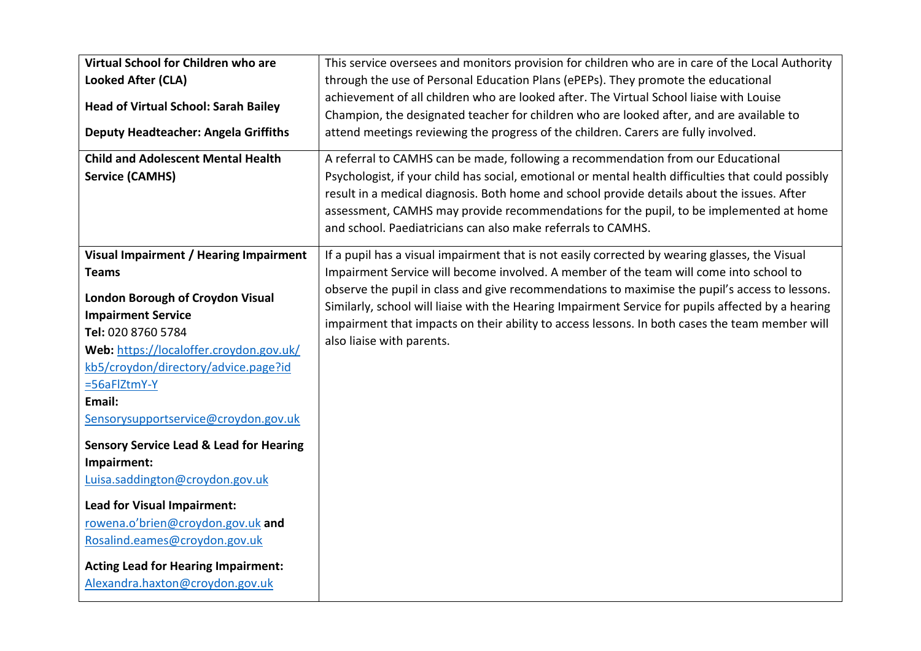| Virtual School for Children who are                                                                                                                                                                                                                                                                     | This service oversees and monitors provision for children who are in care of the Local Authority                                                                                                                                                                                                                                                                                                                                                 |
|---------------------------------------------------------------------------------------------------------------------------------------------------------------------------------------------------------------------------------------------------------------------------------------------------------|--------------------------------------------------------------------------------------------------------------------------------------------------------------------------------------------------------------------------------------------------------------------------------------------------------------------------------------------------------------------------------------------------------------------------------------------------|
| <b>Looked After (CLA)</b>                                                                                                                                                                                                                                                                               | through the use of Personal Education Plans (ePEPs). They promote the educational                                                                                                                                                                                                                                                                                                                                                                |
| <b>Head of Virtual School: Sarah Bailey</b><br><b>Deputy Headteacher: Angela Griffiths</b>                                                                                                                                                                                                              | achievement of all children who are looked after. The Virtual School liaise with Louise<br>Champion, the designated teacher for children who are looked after, and are available to<br>attend meetings reviewing the progress of the children. Carers are fully involved.                                                                                                                                                                        |
| <b>Child and Adolescent Mental Health</b><br><b>Service (CAMHS)</b>                                                                                                                                                                                                                                     | A referral to CAMHS can be made, following a recommendation from our Educational<br>Psychologist, if your child has social, emotional or mental health difficulties that could possibly<br>result in a medical diagnosis. Both home and school provide details about the issues. After<br>assessment, CAMHS may provide recommendations for the pupil, to be implemented at home<br>and school. Paediatricians can also make referrals to CAMHS. |
| Visual Impairment / Hearing Impairment                                                                                                                                                                                                                                                                  | If a pupil has a visual impairment that is not easily corrected by wearing glasses, the Visual                                                                                                                                                                                                                                                                                                                                                   |
| <b>Teams</b>                                                                                                                                                                                                                                                                                            | Impairment Service will become involved. A member of the team will come into school to                                                                                                                                                                                                                                                                                                                                                           |
| <b>London Borough of Croydon Visual</b><br><b>Impairment Service</b><br>Tel: 020 8760 5784<br>Web: https://localoffer.croydon.gov.uk/<br>kb5/croydon/directory/advice.page?id<br>$=56aFlZtmY-Y$<br>Email:<br>Sensorysupportservice@croydon.gov.uk<br><b>Sensory Service Lead &amp; Lead for Hearing</b> | observe the pupil in class and give recommendations to maximise the pupil's access to lessons.<br>Similarly, school will liaise with the Hearing Impairment Service for pupils affected by a hearing<br>impairment that impacts on their ability to access lessons. In both cases the team member will<br>also liaise with parents.                                                                                                              |
| Impairment:                                                                                                                                                                                                                                                                                             |                                                                                                                                                                                                                                                                                                                                                                                                                                                  |
| Luisa.saddington@croydon.gov.uk                                                                                                                                                                                                                                                                         |                                                                                                                                                                                                                                                                                                                                                                                                                                                  |
| Lead for Visual Impairment:                                                                                                                                                                                                                                                                             |                                                                                                                                                                                                                                                                                                                                                                                                                                                  |
| rowena.o'brien@croydon.gov.uk and                                                                                                                                                                                                                                                                       |                                                                                                                                                                                                                                                                                                                                                                                                                                                  |
| Rosalind.eames@croydon.gov.uk                                                                                                                                                                                                                                                                           |                                                                                                                                                                                                                                                                                                                                                                                                                                                  |
| <b>Acting Lead for Hearing Impairment:</b>                                                                                                                                                                                                                                                              |                                                                                                                                                                                                                                                                                                                                                                                                                                                  |
| Alexandra.haxton@croydon.gov.uk                                                                                                                                                                                                                                                                         |                                                                                                                                                                                                                                                                                                                                                                                                                                                  |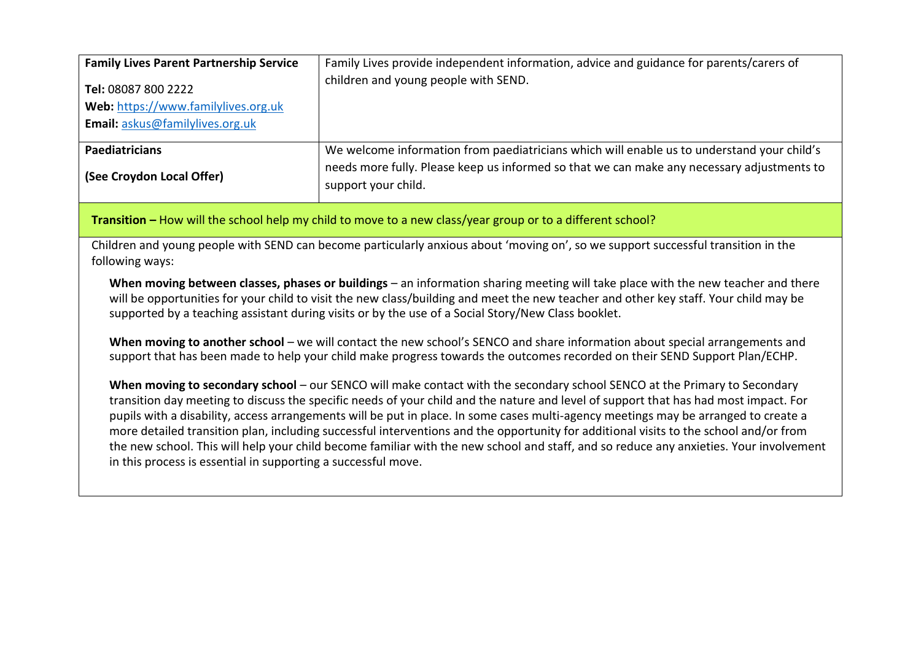| <b>Family Lives Parent Partnership Service</b>             | Family Lives provide independent information, advice and guidance for parents/carers of                           |
|------------------------------------------------------------|-------------------------------------------------------------------------------------------------------------------|
| Tel: 08087 800 2222<br>Web: https://www.familylives.org.uk | children and young people with SEND.                                                                              |
| Email: askus@familylives.org.uk                            |                                                                                                                   |
| <b>Paediatricians</b>                                      | We welcome information from paediatricians which will enable us to understand your child's                        |
| (See Croydon Local Offer)                                  | needs more fully. Please keep us informed so that we can make any necessary adjustments to<br>support your child. |

**Transition –** How will the school help my child to move to a new class/year group or to a different school?

Children and young people with SEND can become particularly anxious about 'moving on', so we support successful transition in the following ways:

When moving between classes, phases or buildings – an information sharing meeting will take place with the new teacher and there will be opportunities for your child to visit the new class/building and meet the new teacher and other key staff. Your child may be supported by a teaching assistant during visits or by the use of a Social Story/New Class booklet.

When moving to another school – we will contact the new school's SENCO and share information about special arrangements and support that has been made to help your child make progress towards the outcomes recorded on their SEND Support Plan/ECHP.

**When moving to secondary school** – our SENCO will make contact with the secondary school SENCO at the Primary to Secondary transition day meeting to discuss the specific needs of your child and the nature and level of support that has had most impact. For pupils with a disability, access arrangements will be put in place. In some cases multi-agency meetings may be arranged to create a more detailed transition plan, including successful interventions and the opportunity for additional visits to the school and/or from the new school. This will help your child become familiar with the new school and staff, and so reduce any anxieties. Your involvement in this process is essential in supporting a successful move.